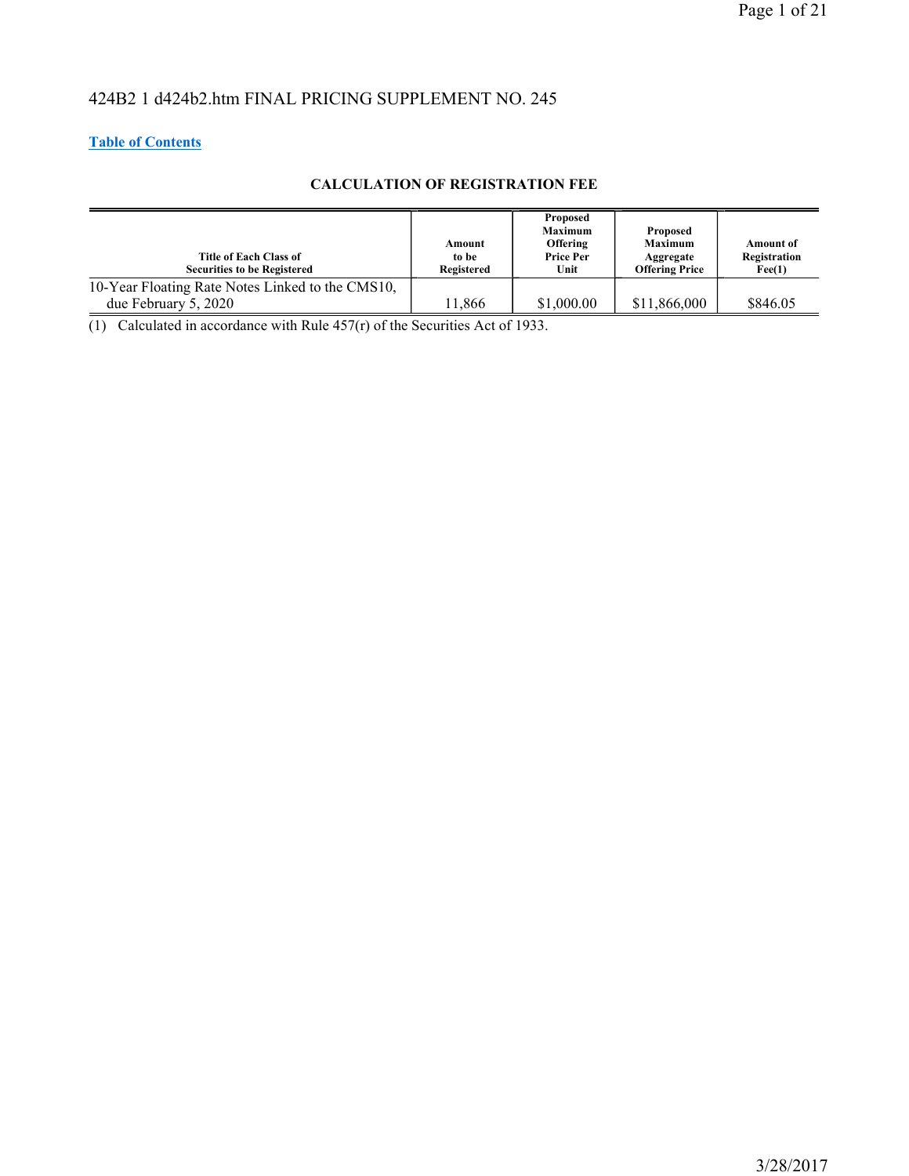# 424B2 1 d424b2.htm FINAL PRICING SUPPLEMENT NO. 245

# **Table of Contents**

### **CALCULATION OF REGISTRATION FEE**

| <b>Title of Each Class of</b><br><b>Securities to be Registered</b> | Amount<br>to be<br>Registered | Proposed<br><b>Maximum</b><br><b>Offering</b><br><b>Price Per</b><br>Unit | Proposed<br><b>Maximum</b><br>Aggregate<br><b>Offering Price</b> | <b>Amount of</b><br>Registration<br>$\text{Fe}e(1)$ |
|---------------------------------------------------------------------|-------------------------------|---------------------------------------------------------------------------|------------------------------------------------------------------|-----------------------------------------------------|
| 10-Year Floating Rate Notes Linked to the CMS10,                    |                               |                                                                           |                                                                  |                                                     |
| due February 5, 2020                                                | 11.866                        | \$1,000.00                                                                | \$11,866,000                                                     | \$846.05                                            |

(1) Calculated in accordance with Rule 457(r) of the Securities Act of 1933.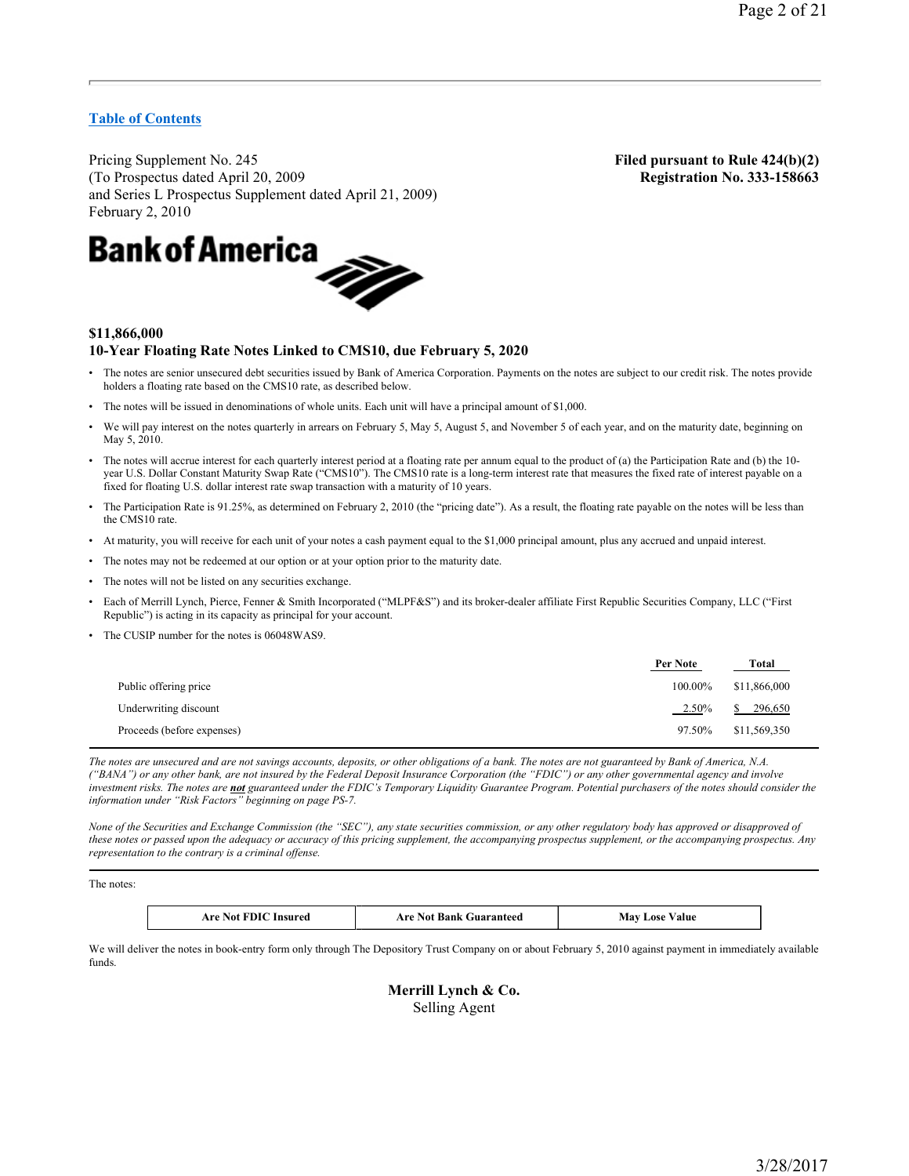Pricing Supplement No. 245 (To Prospectus dated April 20, 2009 and Series L Prospectus Supplement dated April 21, 2009)



### **\$11,866,000 10-Year Floating Rate Notes Linked to CMS10, due February 5, 2020**

- The notes are senior unsecured debt securities issued by Bank of America Corporation. Payments on the notes are subject to our credit risk. The notes provide holders a floating rate based on the CMS10 rate, as described below.
- The notes will be issued in denominations of whole units. Each unit will have a principal amount of \$1,000.
- We will pay interest on the notes quarterly in arrears on February 5, May 5, August 5, and November 5 of each year, and on the maturity date, beginning on May 5, 2010.
- The notes will accrue interest for each quarterly interest period at a floating rate per annum equal to the product of (a) the Participation Rate and (b) the 10 year U.S. Dollar Constant Maturity Swap Rate ("CMS10"). The CMS10 rate is a long-term interest rate that measures the fixed rate of interest payable on a fixed for floating U.S. dollar interest rate swap transaction with a maturity of 10 years.
- The Participation Rate is 91.25%, as determined on February 2, 2010 (the "pricing date"). As a result, the floating rate payable on the notes will be less than the CMS10 rate.
- At maturity, you will receive for each unit of your notes a cash payment equal to the \$1,000 principal amount, plus any accrued and unpaid interest.
- The notes may not be redeemed at our option or at your option prior to the maturity date.
- The notes will not be listed on any securities exchange.
- Each of Merrill Lynch, Pierce, Fenner & Smith Incorporated ("MLPF&S") and its broker-dealer affiliate First Republic Securities Company, LLC ("First Republic") is acting in its capacity as principal for your account.
- The CUSIP number for the notes is 06048WAS9.

|                            | Per Note | <b>Total</b> |
|----------------------------|----------|--------------|
| Public offering price      | 100.00%  | \$11,866,000 |
| Underwriting discount      | $2.50\%$ | 296,650      |
| Proceeds (before expenses) | 97.50%   | \$11,569,350 |

*The notes are unsecured and are not savings accounts, deposits, or other obligations of a bank. The notes are not guaranteed by Bank of America, N.A. ("BANA") or any other bank, are not insured by the Federal Deposit Insurance Corporation (the "FDIC") or any other governmental agency and involve investment risks. The notes are not guaranteed under the FDIC's Temporary Liquidity Guarantee Program. Potential purchasers of the notes should consider the information under "Risk Factors" beginning on page PS-7.* 

*None of the Securities and Exchange Commission (the "SEC"), any state securities commission, or any other regulatory body has approved or disapproved of these notes or passed upon the adequacy or accuracy of this pricing supplement, the accompanying prospectus supplement, or the accompanying prospectus. Any representation to the contrary is a criminal offense.* 

The notes:

| Are Not FDIC | <b>Are Not Bank G</b> | Lose Value |
|--------------|-----------------------|------------|
| Insured      | Guaranteed            | May        |

We will deliver the notes in book-entry form only through The Depository Trust Company on or about February 5, 2010 against payment in immediately available funds.

> **Merrill Lynch & Co.**  Selling Agent

**Filed pursuant to Rule 424(b)(2) Registration No. 333-158663**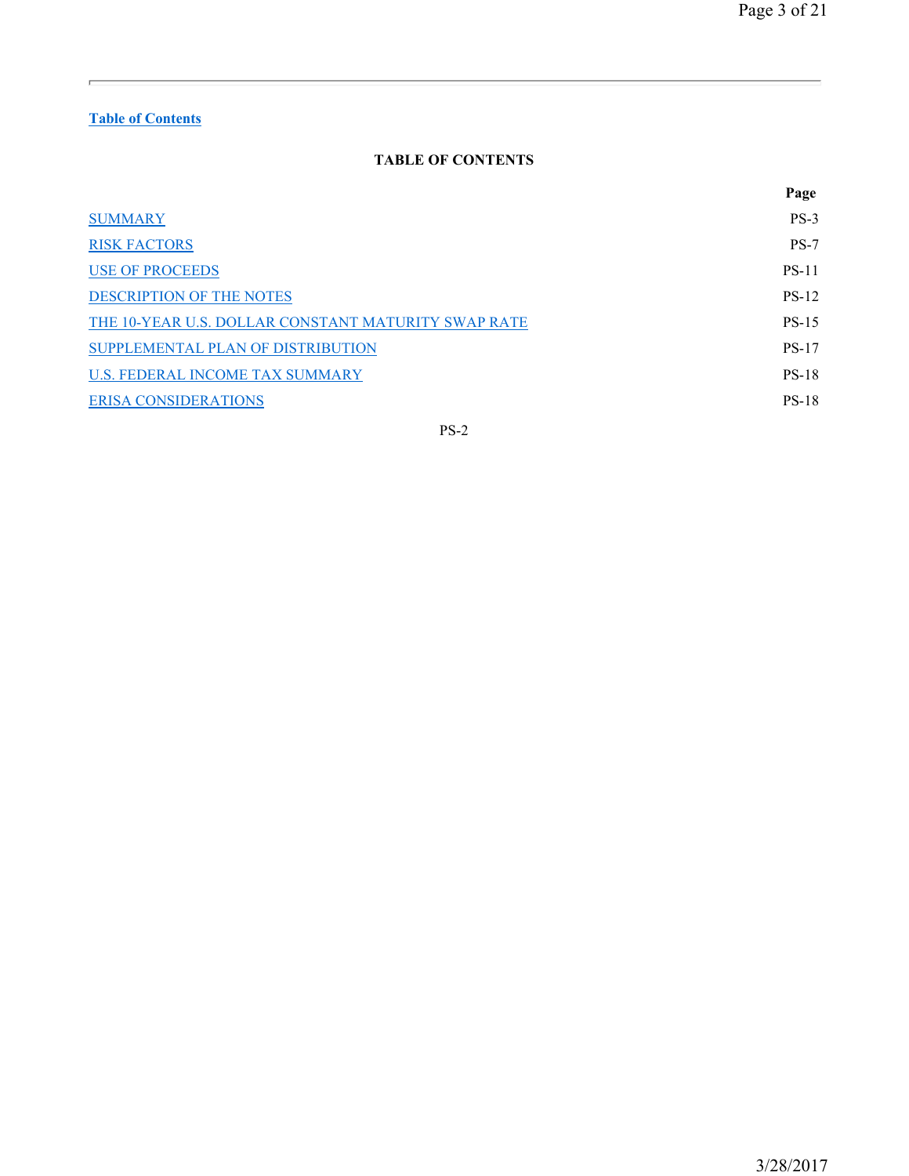# **TABLE OF CONTENTS**

|                                                     | Page         |
|-----------------------------------------------------|--------------|
| <b>SUMMARY</b>                                      | $PS-3$       |
| <b>RISK FACTORS</b>                                 | $PS-7$       |
| <b>USE OF PROCEEDS</b>                              | <b>PS-11</b> |
| <b>DESCRIPTION OF THE NOTES</b>                     | $PS-12$      |
| THE 10-YEAR U.S. DOLLAR CONSTANT MATURITY SWAP RATE | <b>PS-15</b> |
| SUPPLEMENTAL PLAN OF DISTRIBUTION                   | $PS-17$      |
| U.S. FEDERAL INCOME TAX SUMMARY                     | <b>PS-18</b> |
| <b>ERISA CONSIDERATIONS</b>                         | <b>PS-18</b> |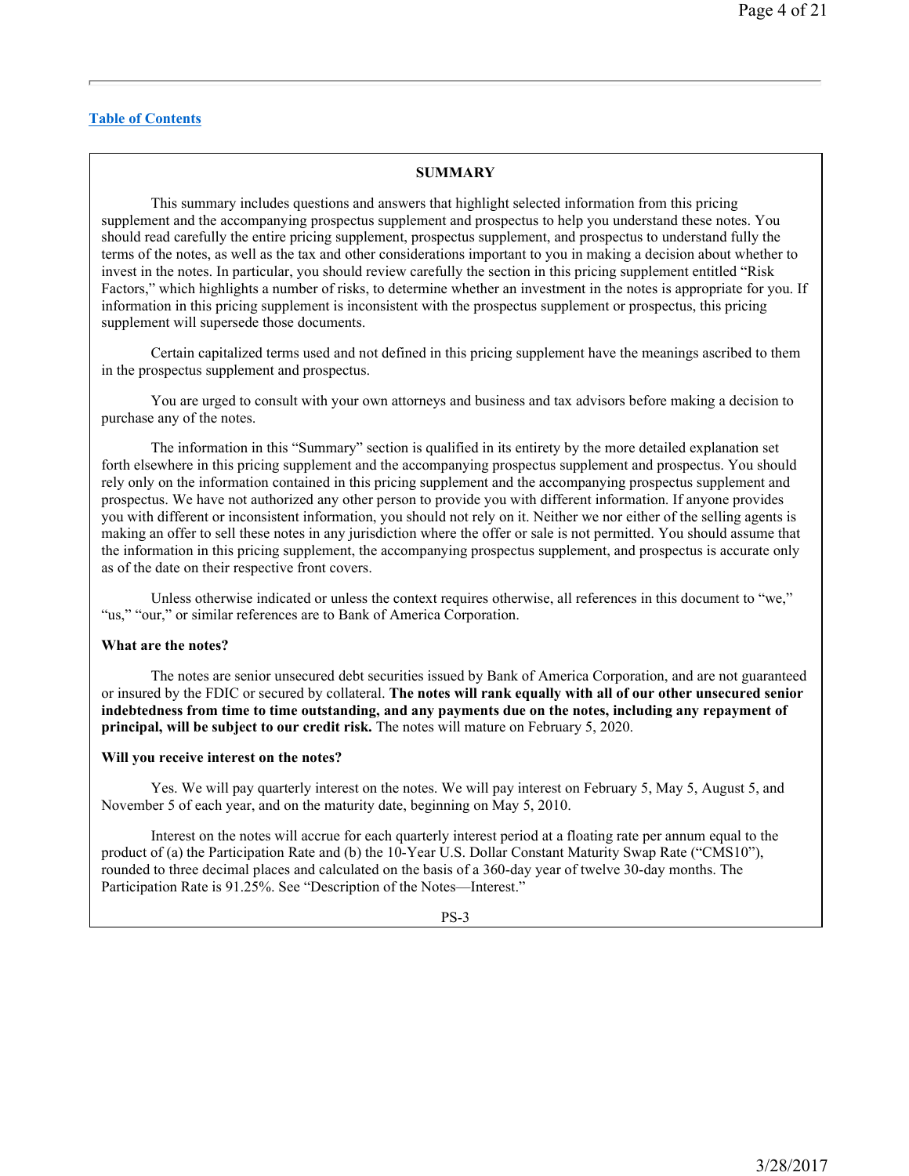### **SUMMARY**

This summary includes questions and answers that highlight selected information from this pricing supplement and the accompanying prospectus supplement and prospectus to help you understand these notes. You should read carefully the entire pricing supplement, prospectus supplement, and prospectus to understand fully the terms of the notes, as well as the tax and other considerations important to you in making a decision about whether to invest in the notes. In particular, you should review carefully the section in this pricing supplement entitled "Risk Factors," which highlights a number of risks, to determine whether an investment in the notes is appropriate for you. If information in this pricing supplement is inconsistent with the prospectus supplement or prospectus, this pricing supplement will supersede those documents.

Certain capitalized terms used and not defined in this pricing supplement have the meanings ascribed to them in the prospectus supplement and prospectus.

You are urged to consult with your own attorneys and business and tax advisors before making a decision to purchase any of the notes.

The information in this "Summary" section is qualified in its entirety by the more detailed explanation set forth elsewhere in this pricing supplement and the accompanying prospectus supplement and prospectus. You should rely only on the information contained in this pricing supplement and the accompanying prospectus supplement and prospectus. We have not authorized any other person to provide you with different information. If anyone provides you with different or inconsistent information, you should not rely on it. Neither we nor either of the selling agents is making an offer to sell these notes in any jurisdiction where the offer or sale is not permitted. You should assume that the information in this pricing supplement, the accompanying prospectus supplement, and prospectus is accurate only as of the date on their respective front covers.

Unless otherwise indicated or unless the context requires otherwise, all references in this document to "we," "us," "our," or similar references are to Bank of America Corporation.

#### **What are the notes?**

The notes are senior unsecured debt securities issued by Bank of America Corporation, and are not guaranteed or insured by the FDIC or secured by collateral. **The notes will rank equally with all of our other unsecured senior indebtedness from time to time outstanding, and any payments due on the notes, including any repayment of principal, will be subject to our credit risk.** The notes will mature on February 5, 2020.

### **Will you receive interest on the notes?**

Yes. We will pay quarterly interest on the notes. We will pay interest on February 5, May 5, August 5, and November 5 of each year, and on the maturity date, beginning on May 5, 2010.

Interest on the notes will accrue for each quarterly interest period at a floating rate per annum equal to the product of (a) the Participation Rate and (b) the 10-Year U.S. Dollar Constant Maturity Swap Rate ("CMS10"), rounded to three decimal places and calculated on the basis of a 360-day year of twelve 30-day months. The Participation Rate is 91.25%. See "Description of the Notes—Interest."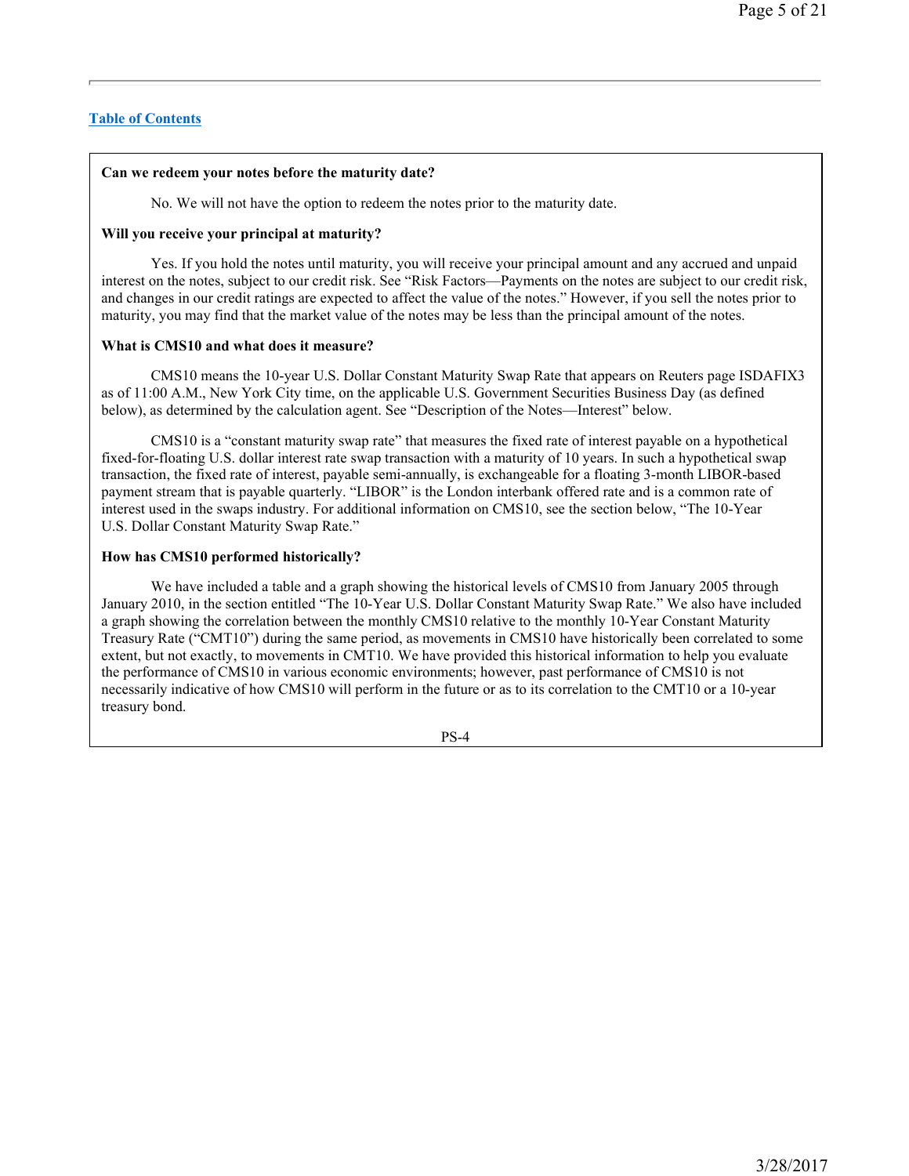### **Can we redeem your notes before the maturity date?**

No. We will not have the option to redeem the notes prior to the maturity date.

### **Will you receive your principal at maturity?**

Yes. If you hold the notes until maturity, you will receive your principal amount and any accrued and unpaid interest on the notes, subject to our credit risk. See "Risk Factors—Payments on the notes are subject to our credit risk, and changes in our credit ratings are expected to affect the value of the notes." However, if you sell the notes prior to maturity, you may find that the market value of the notes may be less than the principal amount of the notes.

### **What is CMS10 and what does it measure?**

CMS10 means the 10-year U.S. Dollar Constant Maturity Swap Rate that appears on Reuters page ISDAFIX3 as of 11:00 A.M., New York City time, on the applicable U.S. Government Securities Business Day (as defined below), as determined by the calculation agent. See "Description of the Notes—Interest" below.

CMS10 is a "constant maturity swap rate" that measures the fixed rate of interest payable on a hypothetical fixed-for-floating U.S. dollar interest rate swap transaction with a maturity of 10 years. In such a hypothetical swap transaction, the fixed rate of interest, payable semi-annually, is exchangeable for a floating 3-month LIBOR-based payment stream that is payable quarterly. "LIBOR" is the London interbank offered rate and is a common rate of interest used in the swaps industry. For additional information on CMS10, see the section below, "The 10-Year U.S. Dollar Constant Maturity Swap Rate."

### **How has CMS10 performed historically?**

We have included a table and a graph showing the historical levels of CMS10 from January 2005 through January 2010, in the section entitled "The 10-Year U.S. Dollar Constant Maturity Swap Rate." We also have included a graph showing the correlation between the monthly CMS10 relative to the monthly 10-Year Constant Maturity Treasury Rate ("CMT10") during the same period, as movements in CMS10 have historically been correlated to some extent, but not exactly, to movements in CMT10. We have provided this historical information to help you evaluate the performance of CMS10 in various economic environments; however, past performance of CMS10 is not necessarily indicative of how CMS10 will perform in the future or as to its correlation to the CMT10 or a 10-year treasury bond.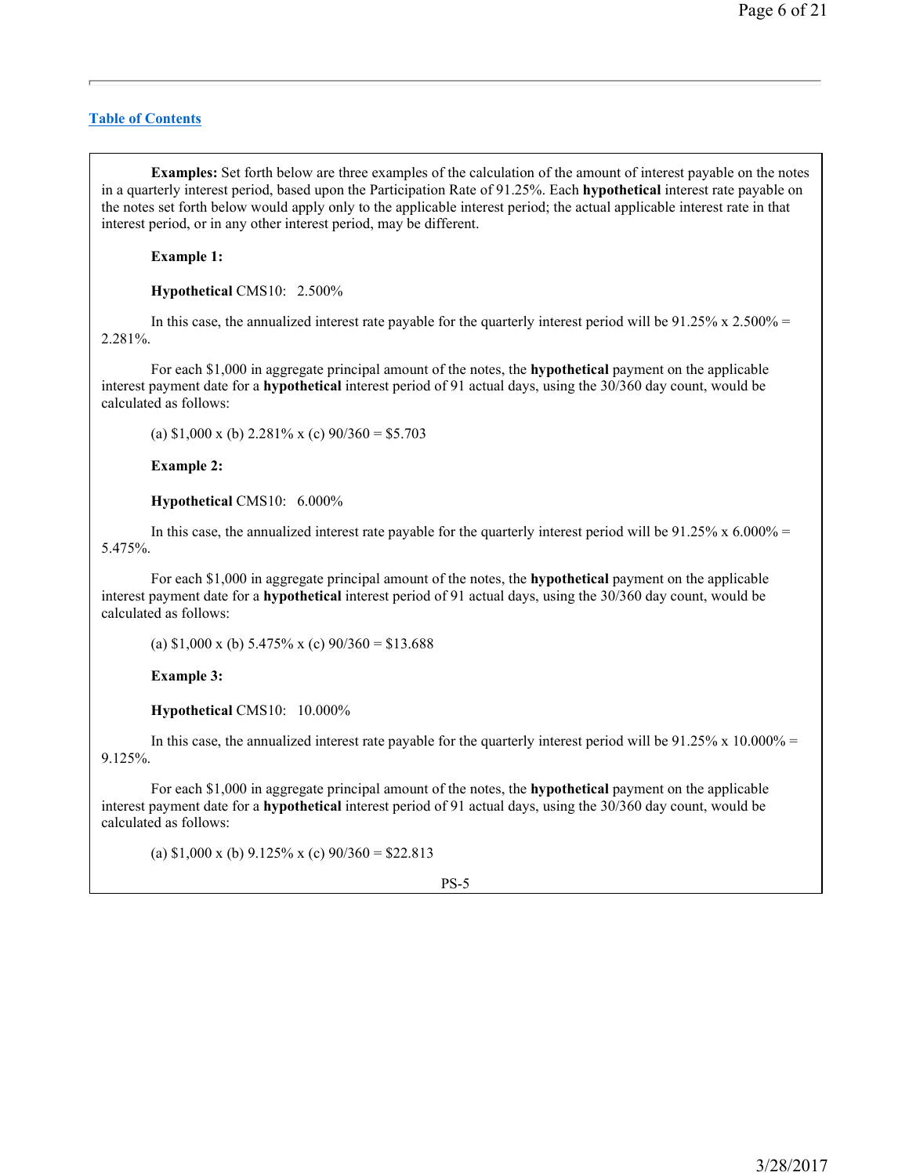**Examples:** Set forth below are three examples of the calculation of the amount of interest payable on the notes in a quarterly interest period, based upon the Participation Rate of 91.25%. Each **hypothetical** interest rate payable on the notes set forth below would apply only to the applicable interest period; the actual applicable interest rate in that interest period, or in any other interest period, may be different.

**Example 1:**

**Hypothetical** CMS10: 2.500%

In this case, the annualized interest rate payable for the quarterly interest period will be  $91.25\%$  x  $2.500\%$  = 2.281%.

For each \$1,000 in aggregate principal amount of the notes, the **hypothetical** payment on the applicable interest payment date for a **hypothetical** interest period of 91 actual days, using the 30/360 day count, would be calculated as follows:

(a)  $$1,000 \text{ x}$  (b) 2.281% x (c)  $90/360 = $5.703$ 

**Example 2:**

**Hypothetical** CMS10: 6.000%

In this case, the annualized interest rate payable for the quarterly interest period will be  $91.25\%$  x  $6.000\%$  = 5.475%.

For each \$1,000 in aggregate principal amount of the notes, the **hypothetical** payment on the applicable interest payment date for a **hypothetical** interest period of 91 actual days, using the 30/360 day count, would be calculated as follows:

(a)  $$1,000 \times$  (b)  $5.475\% \times$  (c)  $90/360 = $13.688$ 

**Example 3:**

**Hypothetical** CMS10: 10.000%

In this case, the annualized interest rate payable for the quarterly interest period will be  $91.25\%$  x  $10.000\%$  = 9.125%.

For each \$1,000 in aggregate principal amount of the notes, the **hypothetical** payment on the applicable interest payment date for a **hypothetical** interest period of 91 actual days, using the 30/360 day count, would be calculated as follows:

(a)  $$1,000 \text{ x}$  (b)  $9.125\% \text{ x}$  (c)  $90/360 = $22.813$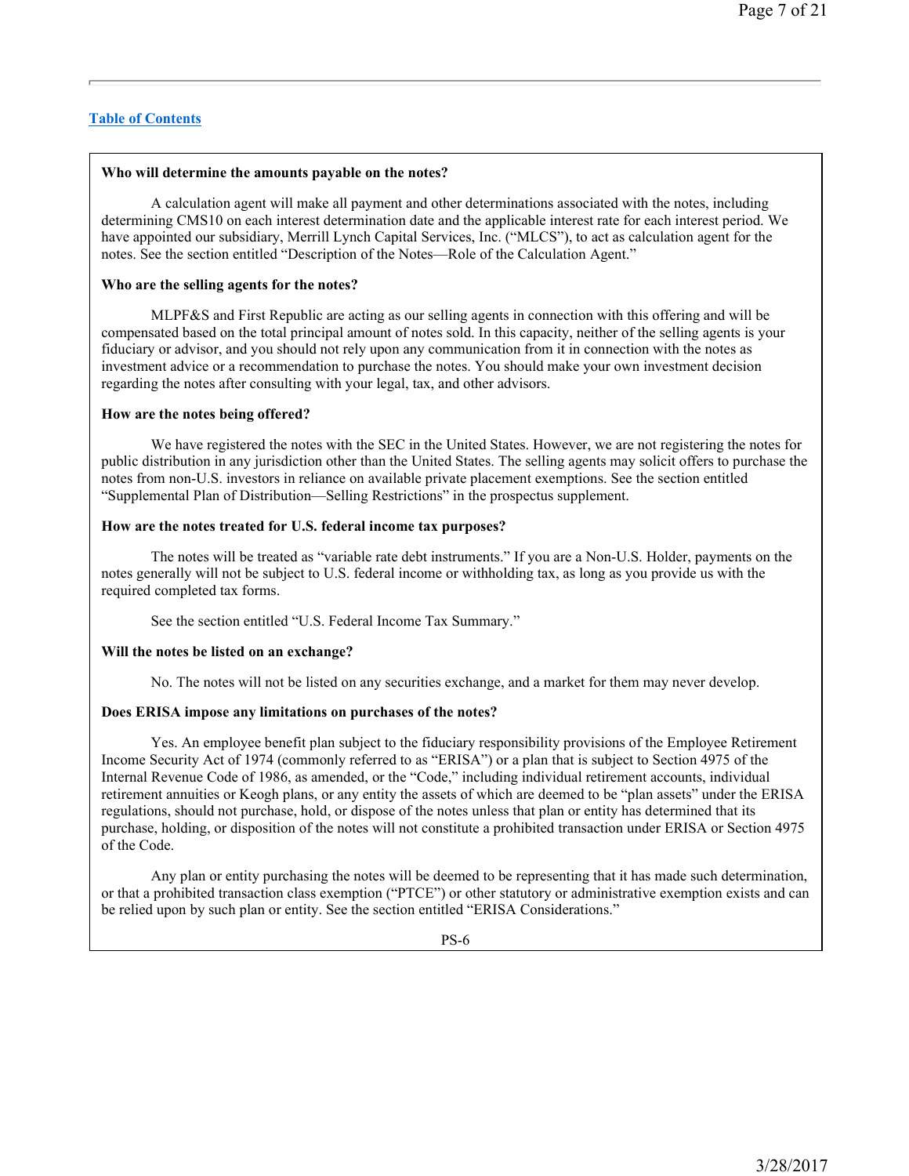#### **Who will determine the amounts payable on the notes?**

A calculation agent will make all payment and other determinations associated with the notes, including determining CMS10 on each interest determination date and the applicable interest rate for each interest period. We have appointed our subsidiary, Merrill Lynch Capital Services, Inc. ("MLCS"), to act as calculation agent for the notes. See the section entitled "Description of the Notes—Role of the Calculation Agent."

#### **Who are the selling agents for the notes?**

MLPF&S and First Republic are acting as our selling agents in connection with this offering and will be compensated based on the total principal amount of notes sold. In this capacity, neither of the selling agents is your fiduciary or advisor, and you should not rely upon any communication from it in connection with the notes as investment advice or a recommendation to purchase the notes. You should make your own investment decision regarding the notes after consulting with your legal, tax, and other advisors.

#### **How are the notes being offered?**

We have registered the notes with the SEC in the United States. However, we are not registering the notes for public distribution in any jurisdiction other than the United States. The selling agents may solicit offers to purchase the notes from non-U.S. investors in reliance on available private placement exemptions. See the section entitled "Supplemental Plan of Distribution—Selling Restrictions" in the prospectus supplement.

### **How are the notes treated for U.S. federal income tax purposes?**

The notes will be treated as "variable rate debt instruments." If you are a Non-U.S. Holder, payments on the notes generally will not be subject to U.S. federal income or withholding tax, as long as you provide us with the required completed tax forms.

See the section entitled "U.S. Federal Income Tax Summary."

### **Will the notes be listed on an exchange?**

No. The notes will not be listed on any securities exchange, and a market for them may never develop.

### **Does ERISA impose any limitations on purchases of the notes?**

Yes. An employee benefit plan subject to the fiduciary responsibility provisions of the Employee Retirement Income Security Act of 1974 (commonly referred to as "ERISA") or a plan that is subject to Section 4975 of the Internal Revenue Code of 1986, as amended, or the "Code," including individual retirement accounts, individual retirement annuities or Keogh plans, or any entity the assets of which are deemed to be "plan assets" under the ERISA regulations, should not purchase, hold, or dispose of the notes unless that plan or entity has determined that its purchase, holding, or disposition of the notes will not constitute a prohibited transaction under ERISA or Section 4975 of the Code.

Any plan or entity purchasing the notes will be deemed to be representing that it has made such determination, or that a prohibited transaction class exemption ("PTCE") or other statutory or administrative exemption exists and can be relied upon by such plan or entity. See the section entitled "ERISA Considerations."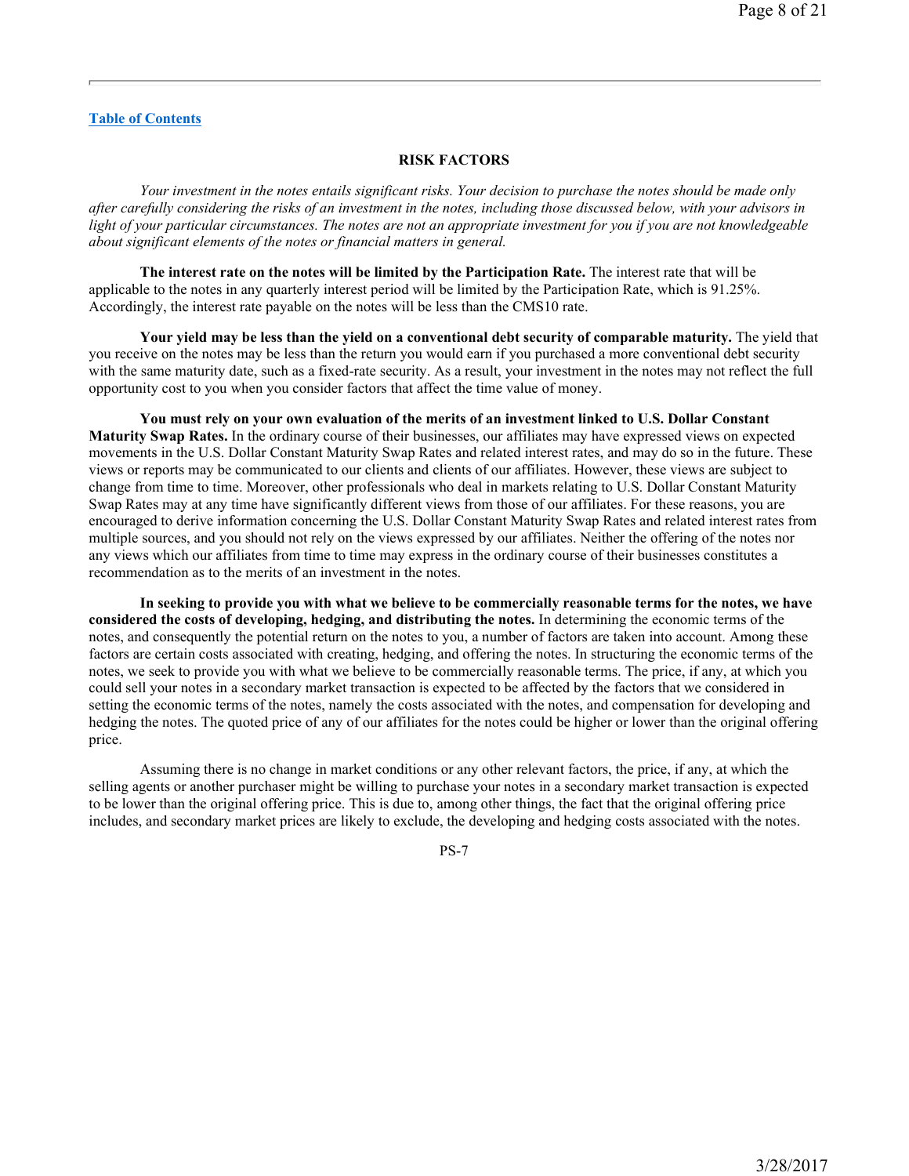#### **RISK FACTORS**

*Your investment in the notes entails significant risks. Your decision to purchase the notes should be made only after carefully considering the risks of an investment in the notes, including those discussed below, with your advisors in light of your particular circumstances. The notes are not an appropriate investment for you if you are not knowledgeable about significant elements of the notes or financial matters in general.* 

**The interest rate on the notes will be limited by the Participation Rate.** The interest rate that will be applicable to the notes in any quarterly interest period will be limited by the Participation Rate, which is 91.25%. Accordingly, the interest rate payable on the notes will be less than the CMS10 rate.

**Your yield may be less than the yield on a conventional debt security of comparable maturity.** The yield that you receive on the notes may be less than the return you would earn if you purchased a more conventional debt security with the same maturity date, such as a fixed-rate security. As a result, your investment in the notes may not reflect the full opportunity cost to you when you consider factors that affect the time value of money.

**You must rely on your own evaluation of the merits of an investment linked to U.S. Dollar Constant Maturity Swap Rates.** In the ordinary course of their businesses, our affiliates may have expressed views on expected movements in the U.S. Dollar Constant Maturity Swap Rates and related interest rates, and may do so in the future. These views or reports may be communicated to our clients and clients of our affiliates. However, these views are subject to change from time to time. Moreover, other professionals who deal in markets relating to U.S. Dollar Constant Maturity Swap Rates may at any time have significantly different views from those of our affiliates. For these reasons, you are encouraged to derive information concerning the U.S. Dollar Constant Maturity Swap Rates and related interest rates from multiple sources, and you should not rely on the views expressed by our affiliates. Neither the offering of the notes nor any views which our affiliates from time to time may express in the ordinary course of their businesses constitutes a recommendation as to the merits of an investment in the notes.

**In seeking to provide you with what we believe to be commercially reasonable terms for the notes, we have considered the costs of developing, hedging, and distributing the notes.** In determining the economic terms of the notes, and consequently the potential return on the notes to you, a number of factors are taken into account. Among these factors are certain costs associated with creating, hedging, and offering the notes. In structuring the economic terms of the notes, we seek to provide you with what we believe to be commercially reasonable terms. The price, if any, at which you could sell your notes in a secondary market transaction is expected to be affected by the factors that we considered in setting the economic terms of the notes, namely the costs associated with the notes, and compensation for developing and hedging the notes. The quoted price of any of our affiliates for the notes could be higher or lower than the original offering price.

Assuming there is no change in market conditions or any other relevant factors, the price, if any, at which the selling agents or another purchaser might be willing to purchase your notes in a secondary market transaction is expected to be lower than the original offering price. This is due to, among other things, the fact that the original offering price includes, and secondary market prices are likely to exclude, the developing and hedging costs associated with the notes.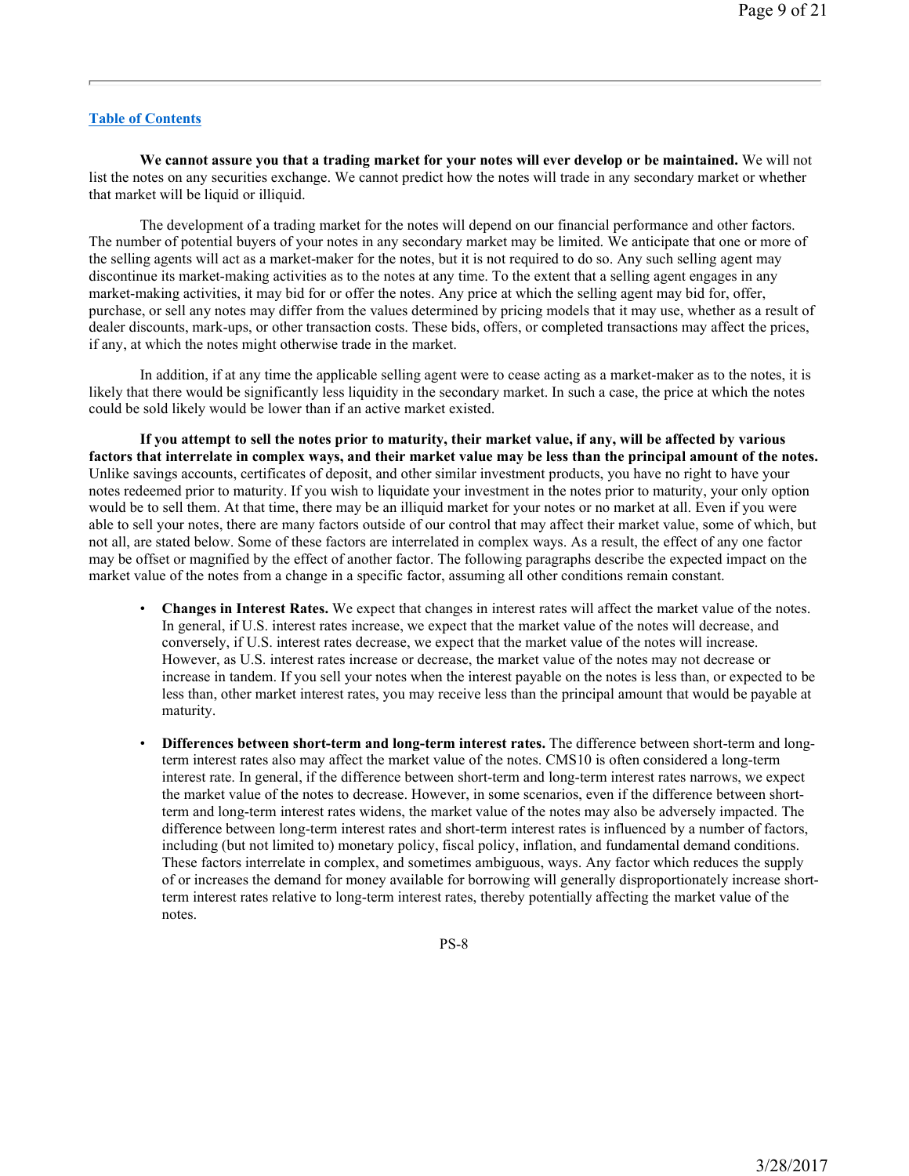**We cannot assure you that a trading market for your notes will ever develop or be maintained.** We will not list the notes on any securities exchange. We cannot predict how the notes will trade in any secondary market or whether that market will be liquid or illiquid.

The development of a trading market for the notes will depend on our financial performance and other factors. The number of potential buyers of your notes in any secondary market may be limited. We anticipate that one or more of the selling agents will act as a market-maker for the notes, but it is not required to do so. Any such selling agent may discontinue its market-making activities as to the notes at any time. To the extent that a selling agent engages in any market-making activities, it may bid for or offer the notes. Any price at which the selling agent may bid for, offer, purchase, or sell any notes may differ from the values determined by pricing models that it may use, whether as a result of dealer discounts, mark-ups, or other transaction costs. These bids, offers, or completed transactions may affect the prices, if any, at which the notes might otherwise trade in the market.

In addition, if at any time the applicable selling agent were to cease acting as a market-maker as to the notes, it is likely that there would be significantly less liquidity in the secondary market. In such a case, the price at which the notes could be sold likely would be lower than if an active market existed.

**If you attempt to sell the notes prior to maturity, their market value, if any, will be affected by various factors that interrelate in complex ways, and their market value may be less than the principal amount of the notes.** Unlike savings accounts, certificates of deposit, and other similar investment products, you have no right to have your notes redeemed prior to maturity. If you wish to liquidate your investment in the notes prior to maturity, your only option would be to sell them. At that time, there may be an illiquid market for your notes or no market at all. Even if you were able to sell your notes, there are many factors outside of our control that may affect their market value, some of which, but not all, are stated below. Some of these factors are interrelated in complex ways. As a result, the effect of any one factor may be offset or magnified by the effect of another factor. The following paragraphs describe the expected impact on the market value of the notes from a change in a specific factor, assuming all other conditions remain constant.

- **Changes in Interest Rates.** We expect that changes in interest rates will affect the market value of the notes. In general, if U.S. interest rates increase, we expect that the market value of the notes will decrease, and conversely, if U.S. interest rates decrease, we expect that the market value of the notes will increase. However, as U.S. interest rates increase or decrease, the market value of the notes may not decrease or increase in tandem. If you sell your notes when the interest payable on the notes is less than, or expected to be less than, other market interest rates, you may receive less than the principal amount that would be payable at maturity.
- **Differences between short-term and long-term interest rates.** The difference between short-term and longterm interest rates also may affect the market value of the notes. CMS10 is often considered a long-term interest rate. In general, if the difference between short-term and long-term interest rates narrows, we expect the market value of the notes to decrease. However, in some scenarios, even if the difference between shortterm and long-term interest rates widens, the market value of the notes may also be adversely impacted. The difference between long-term interest rates and short-term interest rates is influenced by a number of factors, including (but not limited to) monetary policy, fiscal policy, inflation, and fundamental demand conditions. These factors interrelate in complex, and sometimes ambiguous, ways. Any factor which reduces the supply of or increases the demand for money available for borrowing will generally disproportionately increase shortterm interest rates relative to long-term interest rates, thereby potentially affecting the market value of the notes.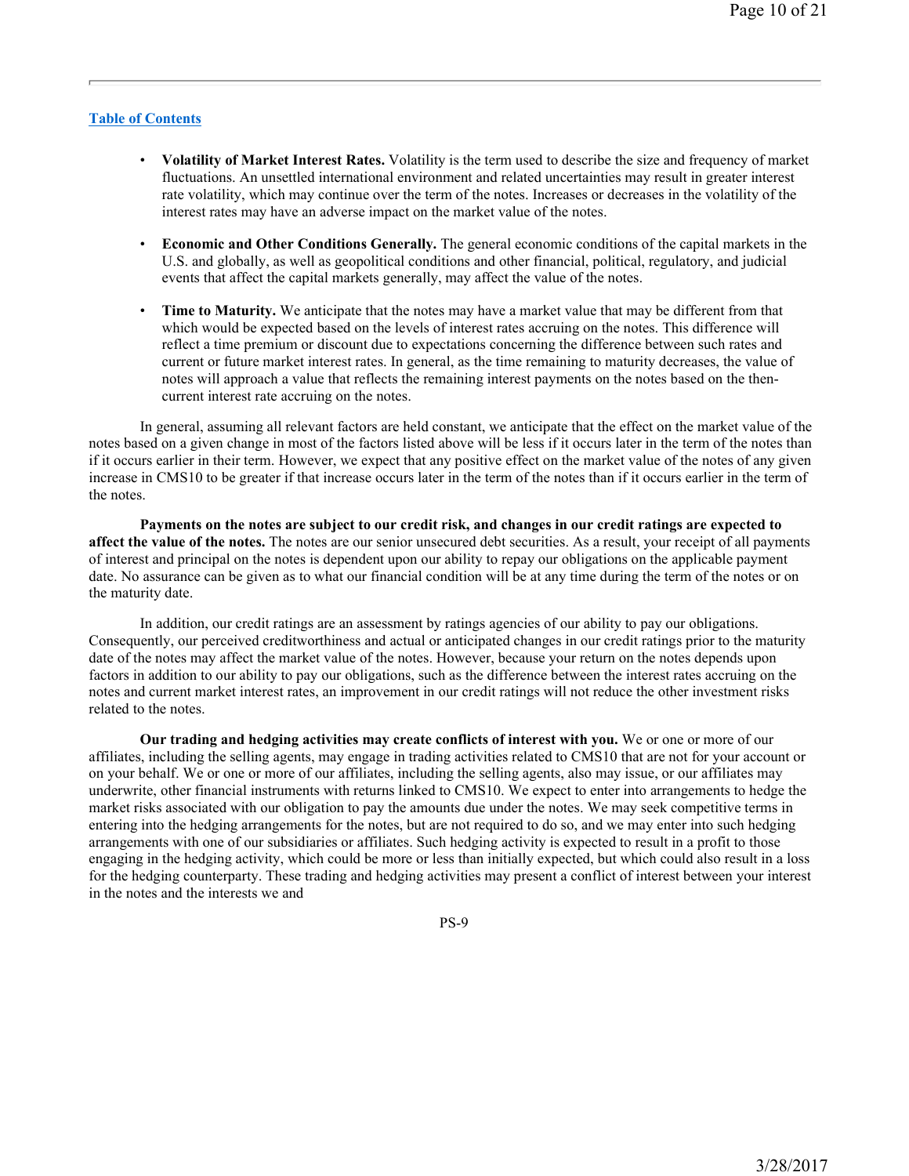- **Volatility of Market Interest Rates.** Volatility is the term used to describe the size and frequency of market fluctuations. An unsettled international environment and related uncertainties may result in greater interest rate volatility, which may continue over the term of the notes. Increases or decreases in the volatility of the interest rates may have an adverse impact on the market value of the notes.
- **Economic and Other Conditions Generally.** The general economic conditions of the capital markets in the U.S. and globally, as well as geopolitical conditions and other financial, political, regulatory, and judicial events that affect the capital markets generally, may affect the value of the notes.
- **Time to Maturity.** We anticipate that the notes may have a market value that may be different from that which would be expected based on the levels of interest rates accruing on the notes. This difference will reflect a time premium or discount due to expectations concerning the difference between such rates and current or future market interest rates. In general, as the time remaining to maturity decreases, the value of notes will approach a value that reflects the remaining interest payments on the notes based on the thencurrent interest rate accruing on the notes.

In general, assuming all relevant factors are held constant, we anticipate that the effect on the market value of the notes based on a given change in most of the factors listed above will be less if it occurs later in the term of the notes than if it occurs earlier in their term. However, we expect that any positive effect on the market value of the notes of any given increase in CMS10 to be greater if that increase occurs later in the term of the notes than if it occurs earlier in the term of the notes.

**Payments on the notes are subject to our credit risk, and changes in our credit ratings are expected to affect the value of the notes.** The notes are our senior unsecured debt securities. As a result, your receipt of all payments of interest and principal on the notes is dependent upon our ability to repay our obligations on the applicable payment date. No assurance can be given as to what our financial condition will be at any time during the term of the notes or on the maturity date.

In addition, our credit ratings are an assessment by ratings agencies of our ability to pay our obligations. Consequently, our perceived creditworthiness and actual or anticipated changes in our credit ratings prior to the maturity date of the notes may affect the market value of the notes. However, because your return on the notes depends upon factors in addition to our ability to pay our obligations, such as the difference between the interest rates accruing on the notes and current market interest rates, an improvement in our credit ratings will not reduce the other investment risks related to the notes.

**Our trading and hedging activities may create conflicts of interest with you.** We or one or more of our affiliates, including the selling agents, may engage in trading activities related to CMS10 that are not for your account or on your behalf. We or one or more of our affiliates, including the selling agents, also may issue, or our affiliates may underwrite, other financial instruments with returns linked to CMS10. We expect to enter into arrangements to hedge the market risks associated with our obligation to pay the amounts due under the notes. We may seek competitive terms in entering into the hedging arrangements for the notes, but are not required to do so, and we may enter into such hedging arrangements with one of our subsidiaries or affiliates. Such hedging activity is expected to result in a profit to those engaging in the hedging activity, which could be more or less than initially expected, but which could also result in a loss for the hedging counterparty. These trading and hedging activities may present a conflict of interest between your interest in the notes and the interests we and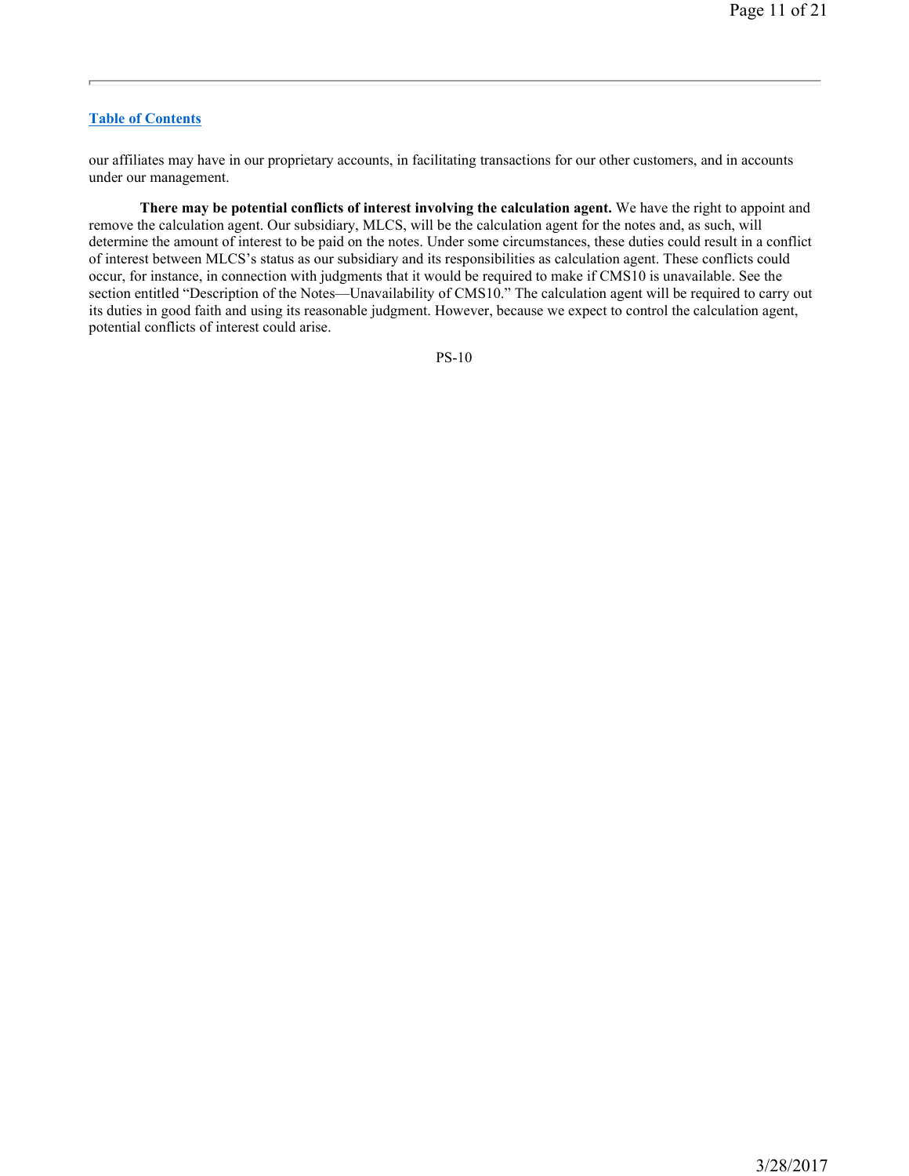our affiliates may have in our proprietary accounts, in facilitating transactions for our other customers, and in accounts under our management.

**There may be potential conflicts of interest involving the calculation agent.** We have the right to appoint and remove the calculation agent. Our subsidiary, MLCS, will be the calculation agent for the notes and, as such, will determine the amount of interest to be paid on the notes. Under some circumstances, these duties could result in a conflict of interest between MLCS's status as our subsidiary and its responsibilities as calculation agent. These conflicts could occur, for instance, in connection with judgments that it would be required to make if CMS10 is unavailable. See the section entitled "Description of the Notes—Unavailability of CMS10." The calculation agent will be required to carry out its duties in good faith and using its reasonable judgment. However, because we expect to control the calculation agent, potential conflicts of interest could arise.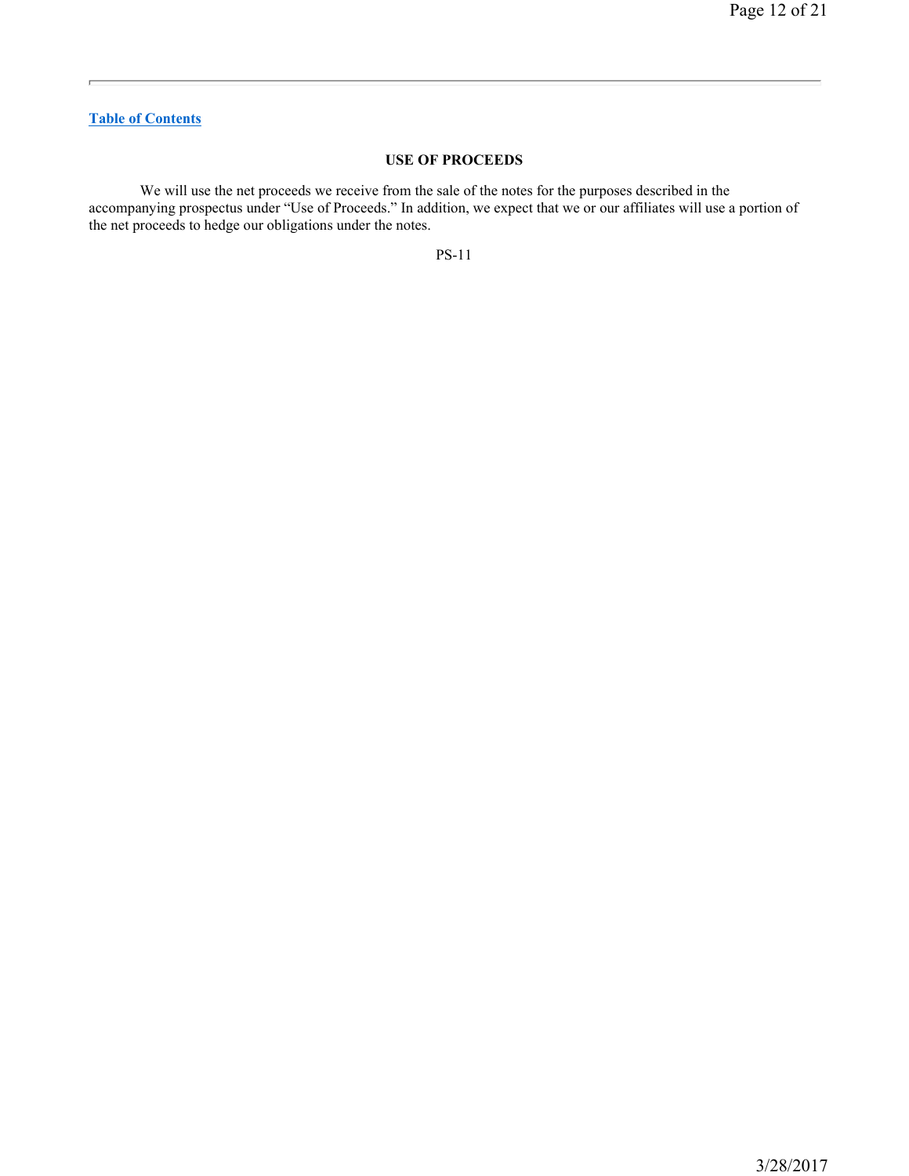# **USE OF PROCEEDS**

We will use the net proceeds we receive from the sale of the notes for the purposes described in the accompanying prospectus under "Use of Proceeds." In addition, we expect that we or our affiliates will use a portion of the net proceeds to hedge our obligations under the notes.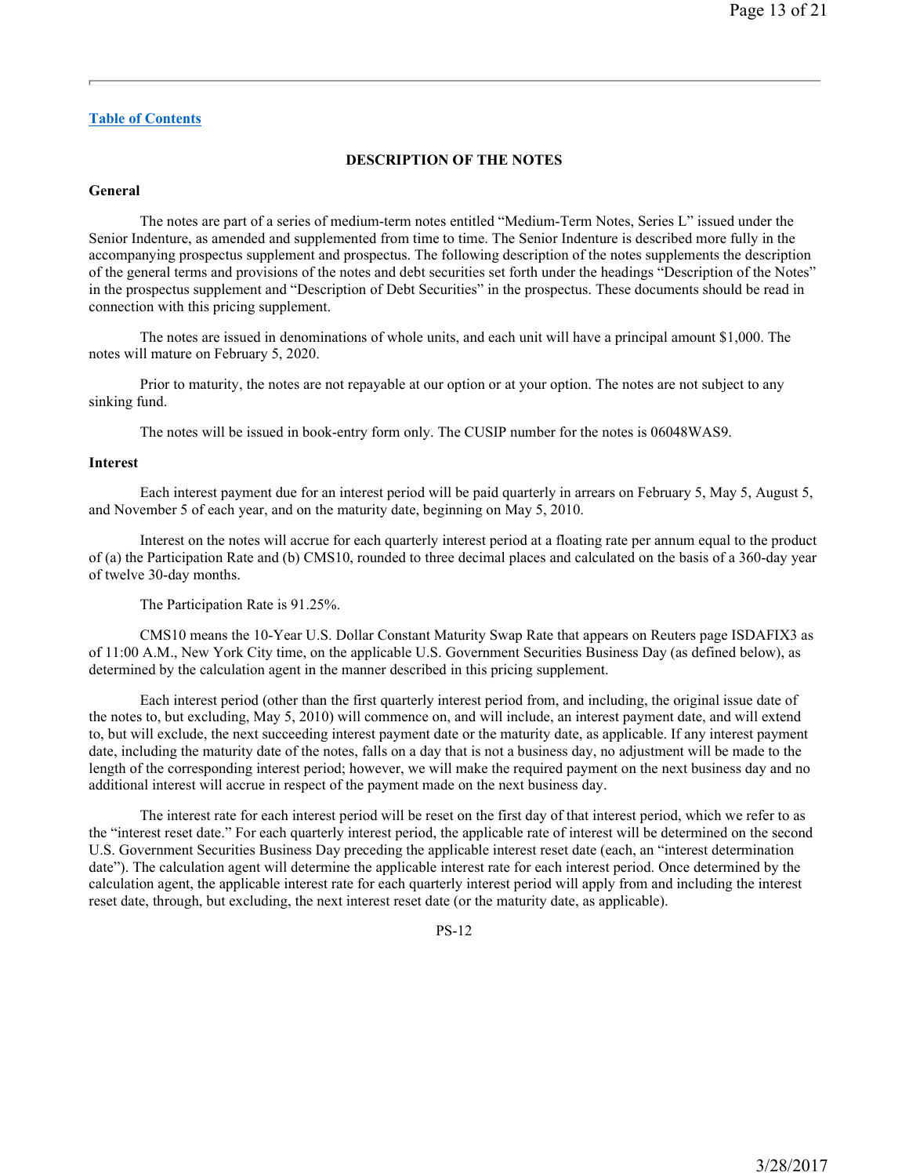### **DESCRIPTION OF THE NOTES**

### **General**

The notes are part of a series of medium-term notes entitled "Medium-Term Notes, Series L" issued under the Senior Indenture, as amended and supplemented from time to time. The Senior Indenture is described more fully in the accompanying prospectus supplement and prospectus. The following description of the notes supplements the description of the general terms and provisions of the notes and debt securities set forth under the headings "Description of the Notes" in the prospectus supplement and "Description of Debt Securities" in the prospectus. These documents should be read in connection with this pricing supplement.

The notes are issued in denominations of whole units, and each unit will have a principal amount \$1,000. The notes will mature on February 5, 2020.

Prior to maturity, the notes are not repayable at our option or at your option. The notes are not subject to any sinking fund.

The notes will be issued in book-entry form only. The CUSIP number for the notes is 06048WAS9.

#### **Interest**

Each interest payment due for an interest period will be paid quarterly in arrears on February 5, May 5, August 5, and November 5 of each year, and on the maturity date, beginning on May 5, 2010.

Interest on the notes will accrue for each quarterly interest period at a floating rate per annum equal to the product of (a) the Participation Rate and (b) CMS10, rounded to three decimal places and calculated on the basis of a 360-day year of twelve 30-day months.

The Participation Rate is 91.25%.

CMS10 means the 10-Year U.S. Dollar Constant Maturity Swap Rate that appears on Reuters page ISDAFIX3 as of 11:00 A.M., New York City time, on the applicable U.S. Government Securities Business Day (as defined below), as determined by the calculation agent in the manner described in this pricing supplement.

Each interest period (other than the first quarterly interest period from, and including, the original issue date of the notes to, but excluding, May 5, 2010) will commence on, and will include, an interest payment date, and will extend to, but will exclude, the next succeeding interest payment date or the maturity date, as applicable. If any interest payment date, including the maturity date of the notes, falls on a day that is not a business day, no adjustment will be made to the length of the corresponding interest period; however, we will make the required payment on the next business day and no additional interest will accrue in respect of the payment made on the next business day.

The interest rate for each interest period will be reset on the first day of that interest period, which we refer to as the "interest reset date." For each quarterly interest period, the applicable rate of interest will be determined on the second U.S. Government Securities Business Day preceding the applicable interest reset date (each, an "interest determination date"). The calculation agent will determine the applicable interest rate for each interest period. Once determined by the calculation agent, the applicable interest rate for each quarterly interest period will apply from and including the interest reset date, through, but excluding, the next interest reset date (or the maturity date, as applicable).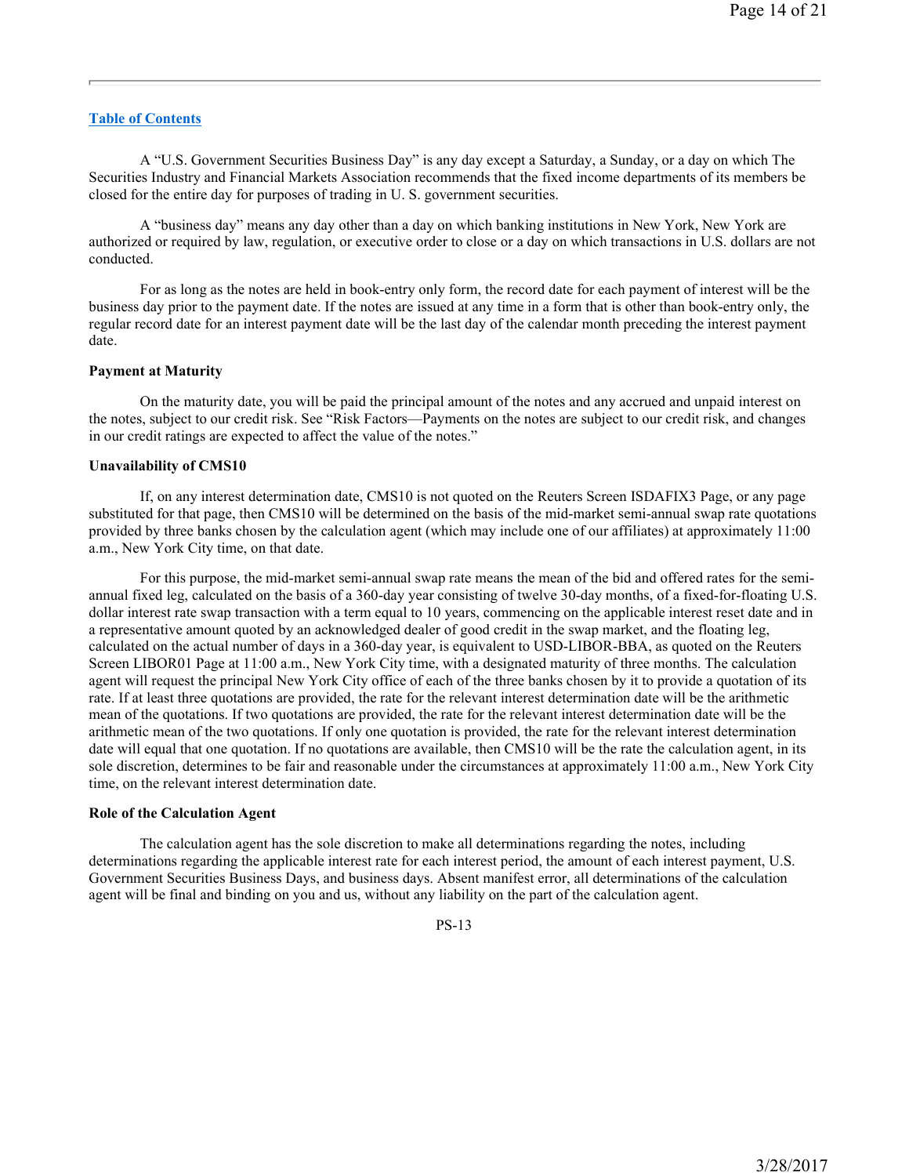A "U.S. Government Securities Business Day" is any day except a Saturday, a Sunday, or a day on which The Securities Industry and Financial Markets Association recommends that the fixed income departments of its members be closed for the entire day for purposes of trading in U. S. government securities.

A "business day" means any day other than a day on which banking institutions in New York, New York are authorized or required by law, regulation, or executive order to close or a day on which transactions in U.S. dollars are not conducted.

For as long as the notes are held in book-entry only form, the record date for each payment of interest will be the business day prior to the payment date. If the notes are issued at any time in a form that is other than book-entry only, the regular record date for an interest payment date will be the last day of the calendar month preceding the interest payment date.

### **Payment at Maturity**

On the maturity date, you will be paid the principal amount of the notes and any accrued and unpaid interest on the notes, subject to our credit risk. See "Risk Factors—Payments on the notes are subject to our credit risk, and changes in our credit ratings are expected to affect the value of the notes."

#### **Unavailability of CMS10**

If, on any interest determination date, CMS10 is not quoted on the Reuters Screen ISDAFIX3 Page, or any page substituted for that page, then CMS10 will be determined on the basis of the mid-market semi-annual swap rate quotations provided by three banks chosen by the calculation agent (which may include one of our affiliates) at approximately 11:00 a.m., New York City time, on that date.

For this purpose, the mid-market semi-annual swap rate means the mean of the bid and offered rates for the semiannual fixed leg, calculated on the basis of a 360-day year consisting of twelve 30-day months, of a fixed-for-floating U.S. dollar interest rate swap transaction with a term equal to 10 years, commencing on the applicable interest reset date and in a representative amount quoted by an acknowledged dealer of good credit in the swap market, and the floating leg, calculated on the actual number of days in a 360-day year, is equivalent to USD-LIBOR-BBA, as quoted on the Reuters Screen LIBOR01 Page at 11:00 a.m., New York City time, with a designated maturity of three months. The calculation agent will request the principal New York City office of each of the three banks chosen by it to provide a quotation of its rate. If at least three quotations are provided, the rate for the relevant interest determination date will be the arithmetic mean of the quotations. If two quotations are provided, the rate for the relevant interest determination date will be the arithmetic mean of the two quotations. If only one quotation is provided, the rate for the relevant interest determination date will equal that one quotation. If no quotations are available, then CMS10 will be the rate the calculation agent, in its sole discretion, determines to be fair and reasonable under the circumstances at approximately 11:00 a.m., New York City time, on the relevant interest determination date.

### **Role of the Calculation Agent**

The calculation agent has the sole discretion to make all determinations regarding the notes, including determinations regarding the applicable interest rate for each interest period, the amount of each interest payment, U.S. Government Securities Business Days, and business days. Absent manifest error, all determinations of the calculation agent will be final and binding on you and us, without any liability on the part of the calculation agent.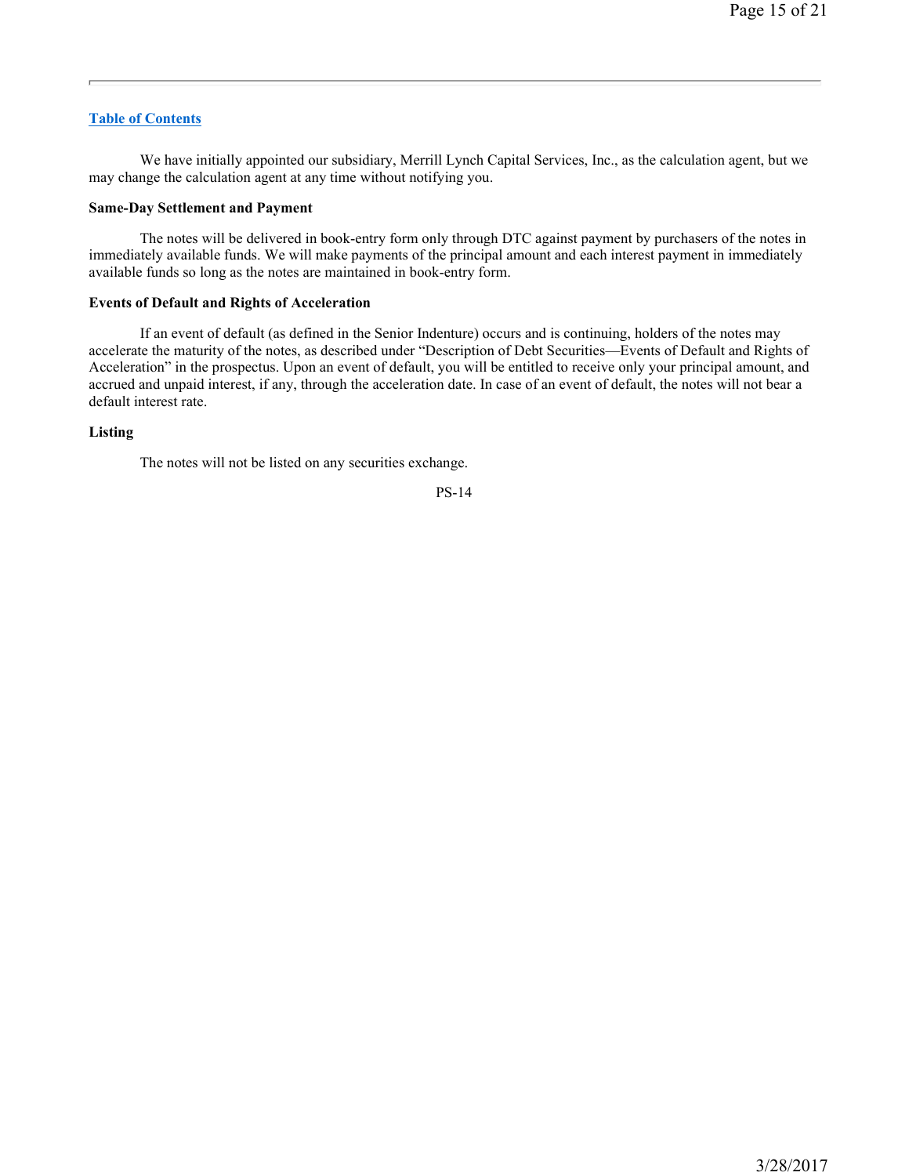We have initially appointed our subsidiary, Merrill Lynch Capital Services, Inc., as the calculation agent, but we may change the calculation agent at any time without notifying you.

#### **Same-Day Settlement and Payment**

The notes will be delivered in book-entry form only through DTC against payment by purchasers of the notes in immediately available funds. We will make payments of the principal amount and each interest payment in immediately available funds so long as the notes are maintained in book-entry form.

### **Events of Default and Rights of Acceleration**

If an event of default (as defined in the Senior Indenture) occurs and is continuing, holders of the notes may accelerate the maturity of the notes, as described under "Description of Debt Securities—Events of Default and Rights of Acceleration" in the prospectus. Upon an event of default, you will be entitled to receive only your principal amount, and accrued and unpaid interest, if any, through the acceleration date. In case of an event of default, the notes will not bear a default interest rate.

#### **Listing**

The notes will not be listed on any securities exchange.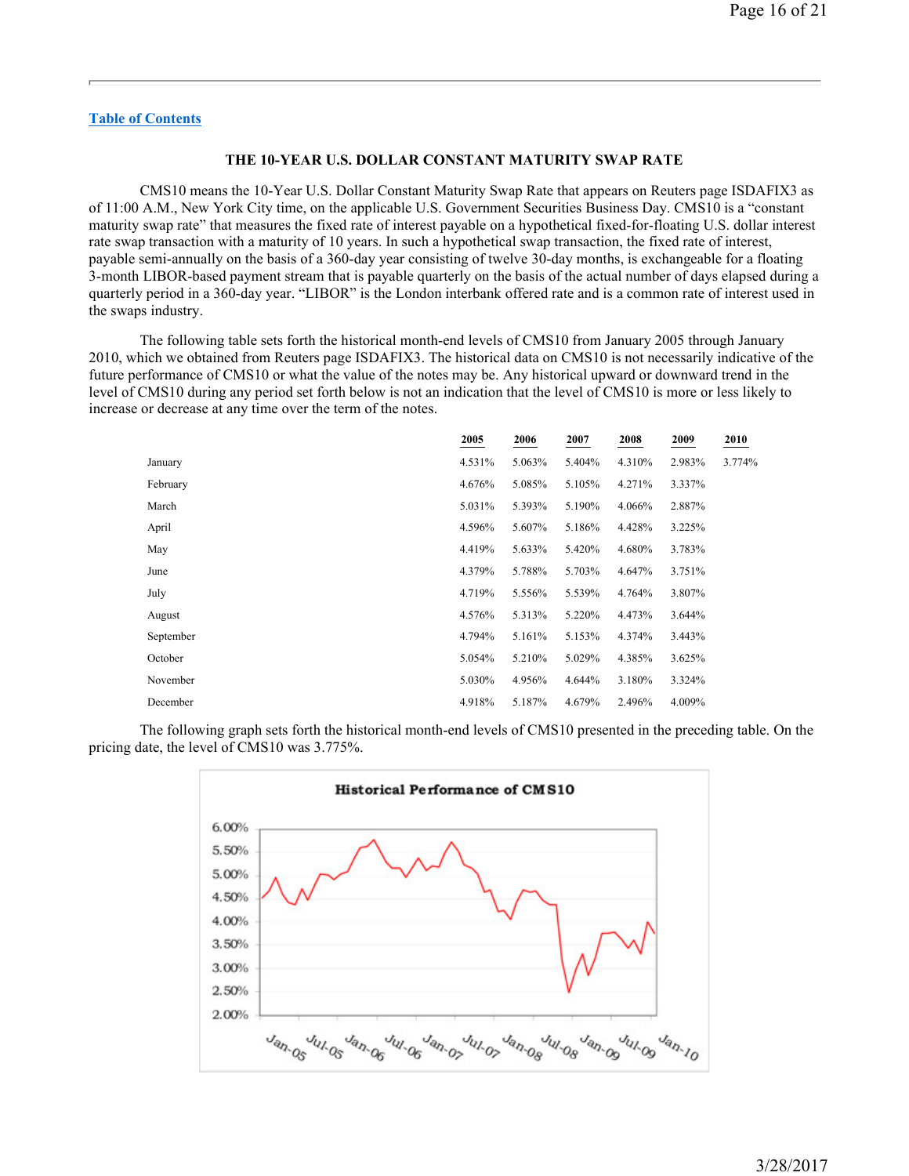### **THE 10-YEAR U.S. DOLLAR CONSTANT MATURITY SWAP RATE**

CMS10 means the 10-Year U.S. Dollar Constant Maturity Swap Rate that appears on Reuters page ISDAFIX3 as of 11:00 A.M., New York City time, on the applicable U.S. Government Securities Business Day. CMS10 is a "constant maturity swap rate" that measures the fixed rate of interest payable on a hypothetical fixed-for-floating U.S. dollar interest rate swap transaction with a maturity of 10 years. In such a hypothetical swap transaction, the fixed rate of interest, payable semi-annually on the basis of a 360-day year consisting of twelve 30-day months, is exchangeable for a floating 3-month LIBOR-based payment stream that is payable quarterly on the basis of the actual number of days elapsed during a quarterly period in a 360-day year. "LIBOR" is the London interbank offered rate and is a common rate of interest used in the swaps industry.

The following table sets forth the historical month-end levels of CMS10 from January 2005 through January 2010, which we obtained from Reuters page ISDAFIX3. The historical data on CMS10 is not necessarily indicative of the future performance of CMS10 or what the value of the notes may be. Any historical upward or downward trend in the level of CMS10 during any period set forth below is not an indication that the level of CMS10 is more or less likely to increase or decrease at any time over the term of the notes.

|           | 2005   | 2006   | 2007   | 2008   | 2009   | 2010   |
|-----------|--------|--------|--------|--------|--------|--------|
| January   | 4.531% | 5.063% | 5.404% | 4.310% | 2.983% | 3.774% |
| February  | 4.676% | 5.085% | 5.105% | 4.271% | 3.337% |        |
| March     | 5.031% | 5.393% | 5.190% | 4.066% | 2.887% |        |
| April     | 4.596% | 5.607% | 5.186% | 4.428% | 3.225% |        |
| May       | 4.419% | 5.633% | 5.420% | 4.680% | 3.783% |        |
| June      | 4.379% | 5.788% | 5.703% | 4.647% | 3.751% |        |
| July      | 4.719% | 5.556% | 5.539% | 4.764% | 3.807% |        |
| August    | 4.576% | 5.313% | 5.220% | 4.473% | 3.644% |        |
| September | 4.794% | 5.161% | 5.153% | 4.374% | 3.443% |        |
| October   | 5.054% | 5.210% | 5.029% | 4.385% | 3.625% |        |
| November  | 5.030% | 4.956% | 4.644% | 3.180% | 3.324% |        |
| December  | 4.918% | 5.187% | 4.679% | 2.496% | 4.009% |        |

The following graph sets forth the historical month-end levels of CMS10 presented in the preceding table. On the pricing date, the level of CMS10 was 3.775%.

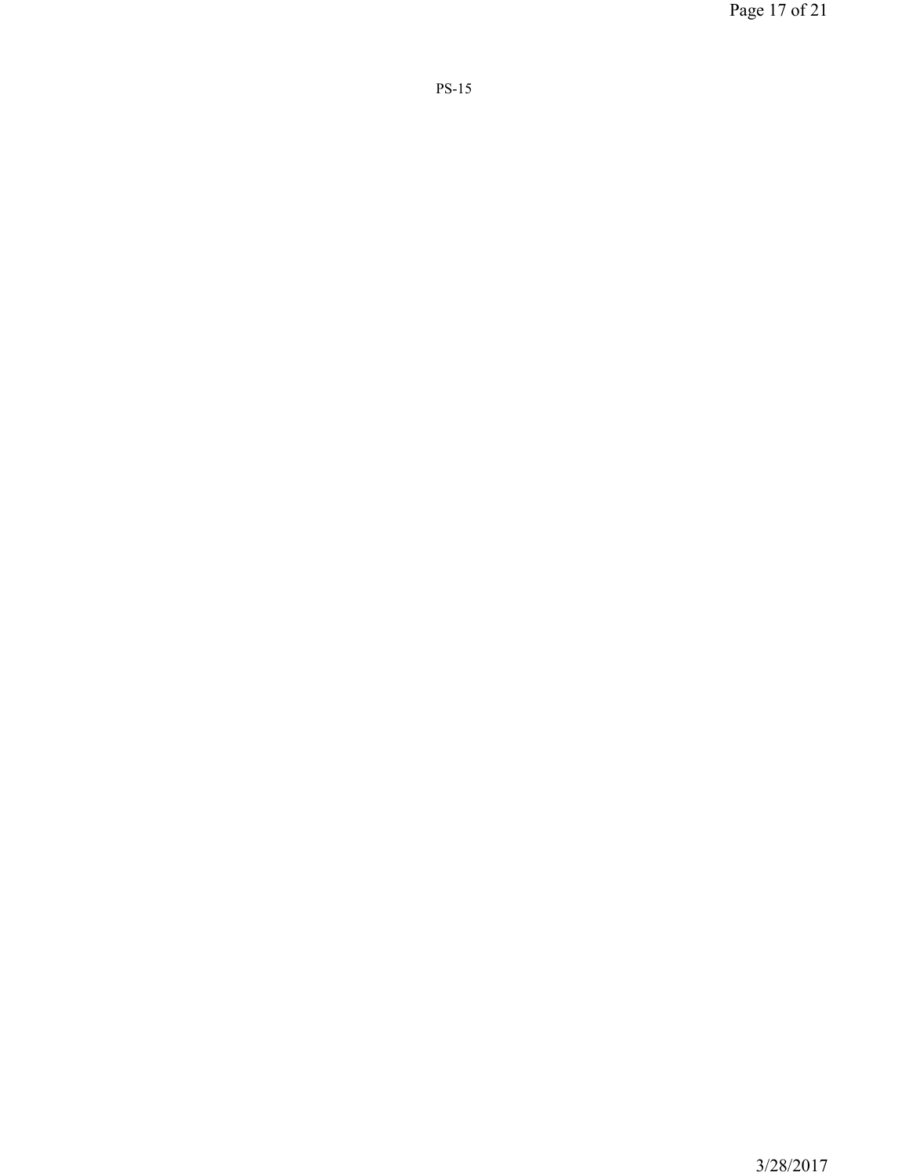Page 17 of 21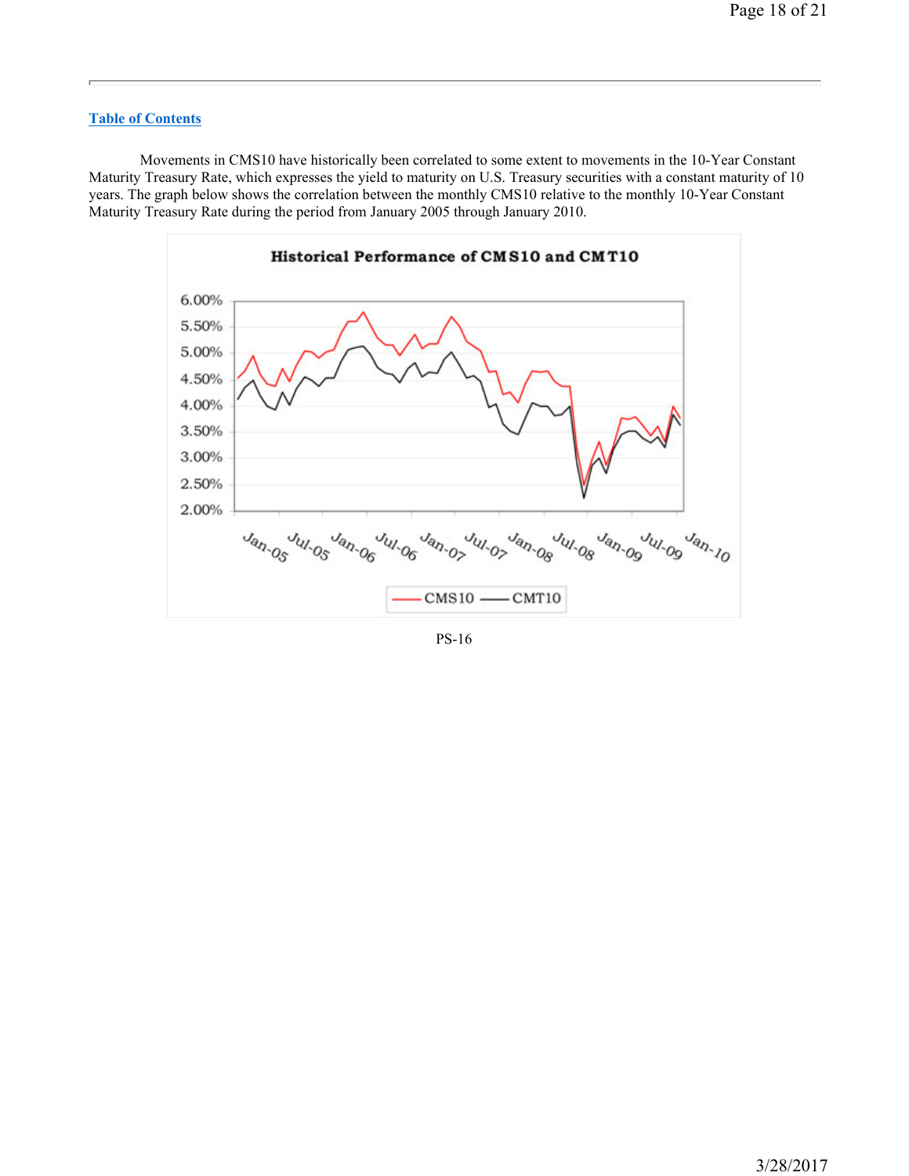Movements in CMS10 have historically been correlated to some extent to movements in the 10-Year Constant Maturity Treasury Rate, which expresses the yield to maturity on U.S. Treasury securities with a constant maturity of 10 years. The graph below shows the correlation between the monthly CMS10 relative to the monthly 10-Year Constant Maturity Treasury Rate during the period from January 2005 through January 2010.



PS-16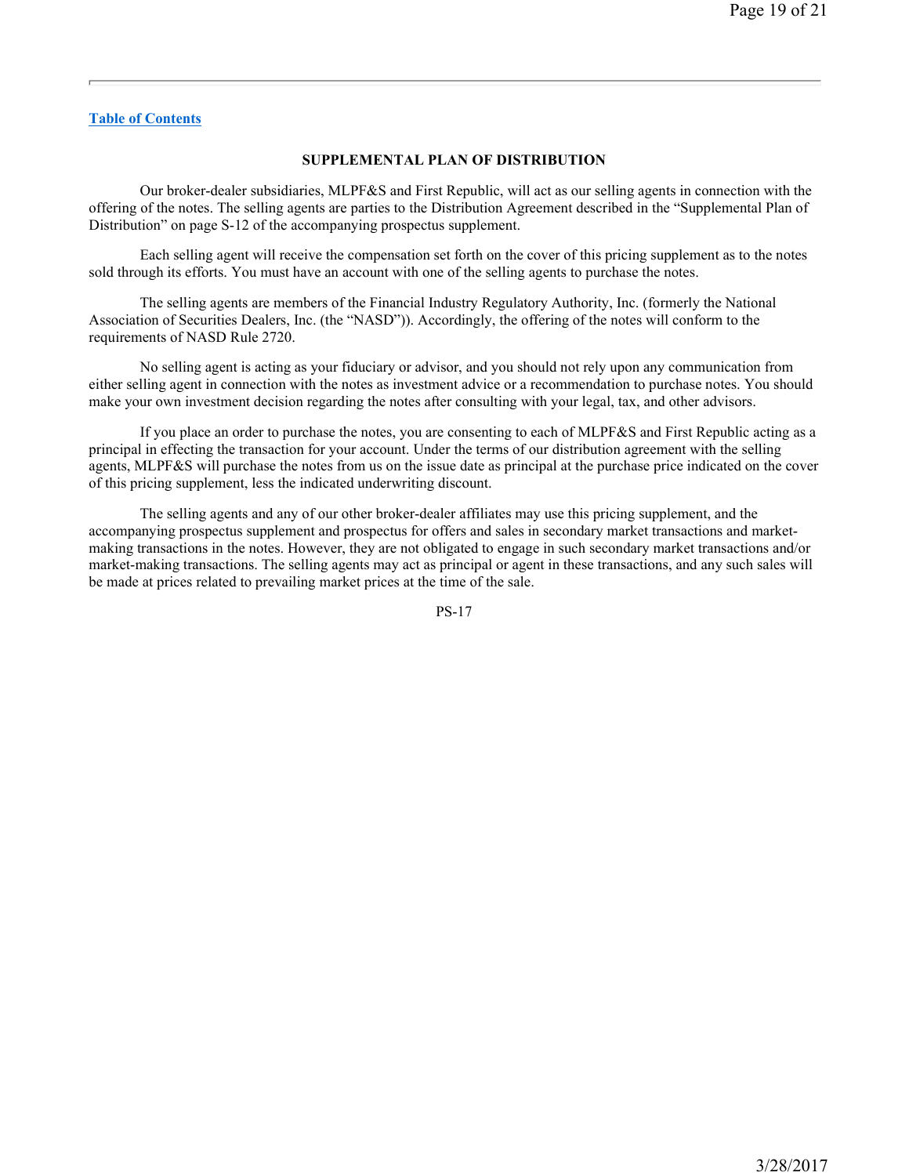### **SUPPLEMENTAL PLAN OF DISTRIBUTION**

Our broker-dealer subsidiaries, MLPF&S and First Republic, will act as our selling agents in connection with the offering of the notes. The selling agents are parties to the Distribution Agreement described in the "Supplemental Plan of Distribution" on page S-12 of the accompanying prospectus supplement.

Each selling agent will receive the compensation set forth on the cover of this pricing supplement as to the notes sold through its efforts. You must have an account with one of the selling agents to purchase the notes.

The selling agents are members of the Financial Industry Regulatory Authority, Inc. (formerly the National Association of Securities Dealers, Inc. (the "NASD")). Accordingly, the offering of the notes will conform to the requirements of NASD Rule 2720.

No selling agent is acting as your fiduciary or advisor, and you should not rely upon any communication from either selling agent in connection with the notes as investment advice or a recommendation to purchase notes. You should make your own investment decision regarding the notes after consulting with your legal, tax, and other advisors.

If you place an order to purchase the notes, you are consenting to each of MLPF&S and First Republic acting as a principal in effecting the transaction for your account. Under the terms of our distribution agreement with the selling agents, MLPF&S will purchase the notes from us on the issue date as principal at the purchase price indicated on the cover of this pricing supplement, less the indicated underwriting discount.

The selling agents and any of our other broker-dealer affiliates may use this pricing supplement, and the accompanying prospectus supplement and prospectus for offers and sales in secondary market transactions and marketmaking transactions in the notes. However, they are not obligated to engage in such secondary market transactions and/or market-making transactions. The selling agents may act as principal or agent in these transactions, and any such sales will be made at prices related to prevailing market prices at the time of the sale.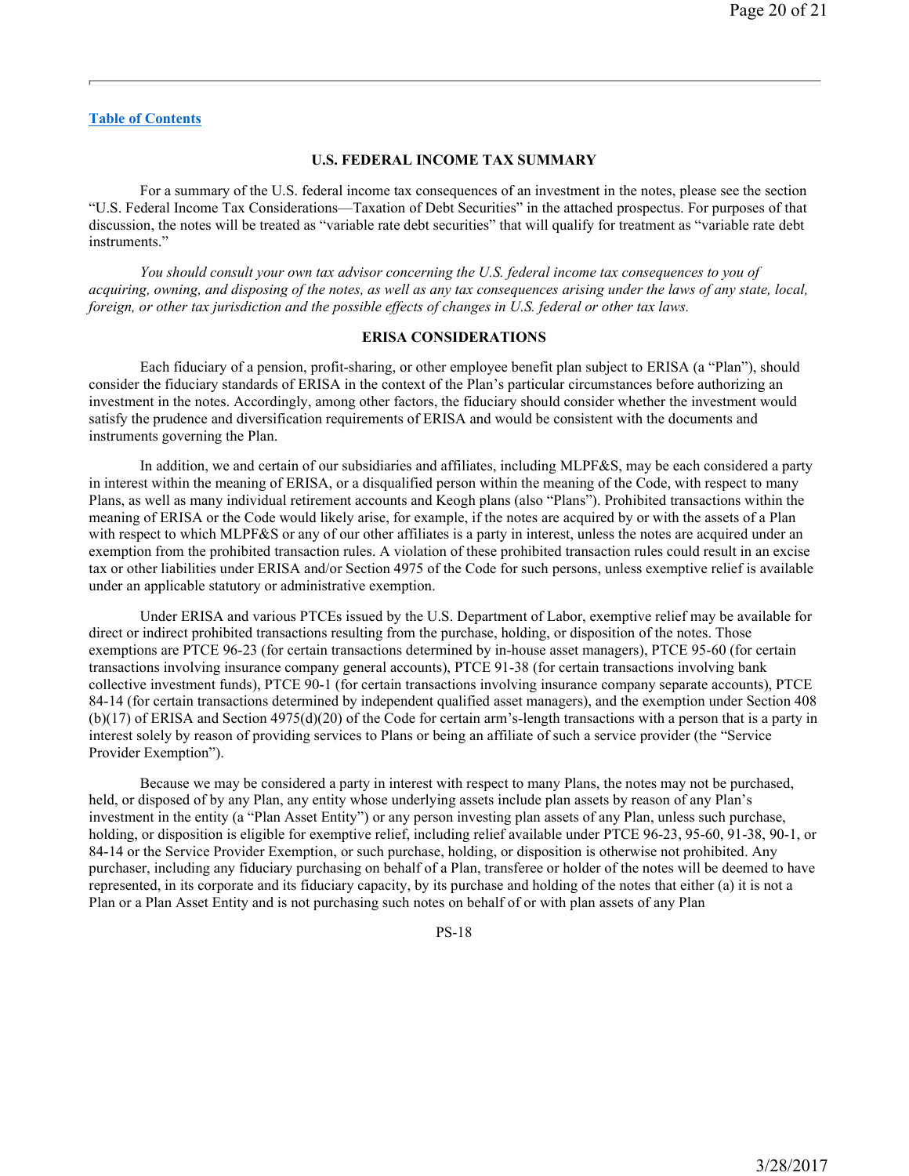#### **U.S. FEDERAL INCOME TAX SUMMARY**

For a summary of the U.S. federal income tax consequences of an investment in the notes, please see the section "U.S. Federal Income Tax Considerations—Taxation of Debt Securities" in the attached prospectus. For purposes of that discussion, the notes will be treated as "variable rate debt securities" that will qualify for treatment as "variable rate debt instruments."

*You should consult your own tax advisor concerning the U.S. federal income tax consequences to you of acquiring, owning, and disposing of the notes, as well as any tax consequences arising under the laws of any state, local, foreign, or other tax jurisdiction and the possible effects of changes in U.S. federal or other tax laws.* 

### **ERISA CONSIDERATIONS**

Each fiduciary of a pension, profit-sharing, or other employee benefit plan subject to ERISA (a "Plan"), should consider the fiduciary standards of ERISA in the context of the Plan's particular circumstances before authorizing an investment in the notes. Accordingly, among other factors, the fiduciary should consider whether the investment would satisfy the prudence and diversification requirements of ERISA and would be consistent with the documents and instruments governing the Plan.

In addition, we and certain of our subsidiaries and affiliates, including MLPF&S, may be each considered a party in interest within the meaning of ERISA, or a disqualified person within the meaning of the Code, with respect to many Plans, as well as many individual retirement accounts and Keogh plans (also "Plans"). Prohibited transactions within the meaning of ERISA or the Code would likely arise, for example, if the notes are acquired by or with the assets of a Plan with respect to which MLPF&S or any of our other affiliates is a party in interest, unless the notes are acquired under an exemption from the prohibited transaction rules. A violation of these prohibited transaction rules could result in an excise tax or other liabilities under ERISA and/or Section 4975 of the Code for such persons, unless exemptive relief is available under an applicable statutory or administrative exemption.

Under ERISA and various PTCEs issued by the U.S. Department of Labor, exemptive relief may be available for direct or indirect prohibited transactions resulting from the purchase, holding, or disposition of the notes. Those exemptions are PTCE 96-23 (for certain transactions determined by in-house asset managers), PTCE 95-60 (for certain transactions involving insurance company general accounts), PTCE 91-38 (for certain transactions involving bank collective investment funds), PTCE 90-1 (for certain transactions involving insurance company separate accounts), PTCE 84-14 (for certain transactions determined by independent qualified asset managers), and the exemption under Section 408 (b)(17) of ERISA and Section 4975(d)(20) of the Code for certain arm's-length transactions with a person that is a party in interest solely by reason of providing services to Plans or being an affiliate of such a service provider (the "Service Provider Exemption").

Because we may be considered a party in interest with respect to many Plans, the notes may not be purchased, held, or disposed of by any Plan, any entity whose underlying assets include plan assets by reason of any Plan's investment in the entity (a "Plan Asset Entity") or any person investing plan assets of any Plan, unless such purchase, holding, or disposition is eligible for exemptive relief, including relief available under PTCE 96-23, 95-60, 91-38, 90-1, or 84-14 or the Service Provider Exemption, or such purchase, holding, or disposition is otherwise not prohibited. Any purchaser, including any fiduciary purchasing on behalf of a Plan, transferee or holder of the notes will be deemed to have represented, in its corporate and its fiduciary capacity, by its purchase and holding of the notes that either (a) it is not a Plan or a Plan Asset Entity and is not purchasing such notes on behalf of or with plan assets of any Plan